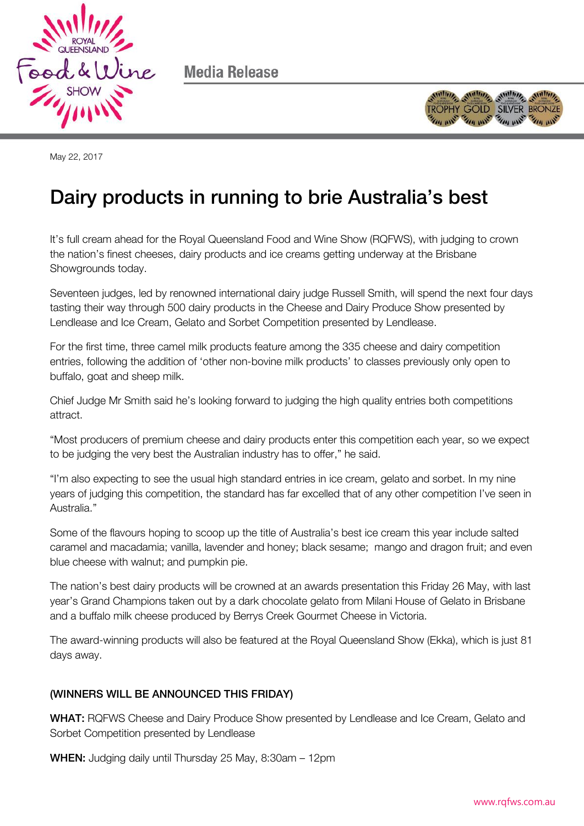

Media Release



May 22, 2017

## Dairy products in running to brie Australia's best

It's full cream ahead for the Royal Queensland Food and Wine Show (RQFWS), with judging to crown the nation's finest cheeses, dairy products and ice creams getting underway at the Brisbane Showgrounds today.

Seventeen judges, led by renowned international dairy judge Russell Smith, will spend the next four days tasting their way through 500 dairy products in the Cheese and Dairy Produce Show presented by Lendlease and Ice Cream, Gelato and Sorbet Competition presented by Lendlease.

For the first time, three camel milk products feature among the 335 cheese and dairy competition entries, following the addition of 'other non-bovine milk products' to classes previously only open to buffalo, goat and sheep milk.

Chief Judge Mr Smith said he's looking forward to judging the high quality entries both competitions attract.

"Most producers of premium cheese and dairy products enter this competition each year, so we expect to be judging the very best the Australian industry has to offer," he said.

"I'm also expecting to see the usual high standard entries in ice cream, gelato and sorbet. In my nine years of judging this competition, the standard has far excelled that of any other competition I've seen in Australia."

Some of the flavours hoping to scoop up the title of Australia's best ice cream this year include salted caramel and macadamia; vanilla, lavender and honey; black sesame; mango and dragon fruit; and even blue cheese with walnut; and pumpkin pie.

The nation's best dairy products will be crowned at an awards presentation this Friday 26 May, with last year's Grand Champions taken out by a dark chocolate gelato from Milani House of Gelato in Brisbane and a buffalo milk cheese produced by Berrys Creek Gourmet Cheese in Victoria.

The award-winning products will also be featured at the Royal Queensland Show (Ekka), which is just 81 days away.

## $\mathcal{N}$

WHAT: RQFWS Cheese and Dairy Produce Show presented by Lendlease and Ice Cream, Gelato and Sorbet Competition presented by Lendlease

WHEN: Judging daily until Thursday 25 May, 8:30am – 12pm